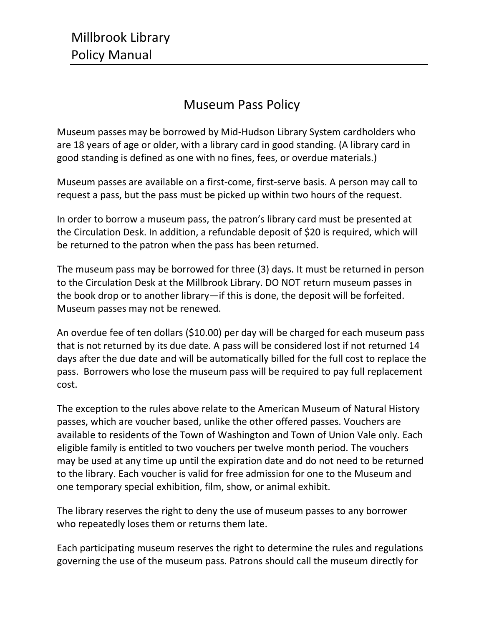## Museum Pass Policy

Museum passes may be borrowed by Mid-Hudson Library System cardholders who are 18 years of age or older, with a library card in good standing. (A library card in good standing is defined as one with no fines, fees, or overdue materials.)

Museum passes are available on a first-come, first-serve basis. A person may call to request a pass, but the pass must be picked up within two hours of the request.

In order to borrow a museum pass, the patron's library card must be presented at the Circulation Desk. In addition, a refundable deposit of \$20 is required, which will be returned to the patron when the pass has been returned.

The museum pass may be borrowed for three (3) days. It must be returned in person to the Circulation Desk at the Millbrook Library. DO NOT return museum passes in the book drop or to another library—if this is done, the deposit will be forfeited. Museum passes may not be renewed.

An overdue fee of ten dollars (\$10.00) per day will be charged for each museum pass that is not returned by its due date. A pass will be considered lost if not returned 14 days after the due date and will be automatically billed for the full cost to replace the pass. Borrowers who lose the museum pass will be required to pay full replacement cost.

The exception to the rules above relate to the American Museum of Natural History passes, which are voucher based, unlike the other offered passes. Vouchers are available to residents of the Town of Washington and Town of Union Vale only. Each eligible family is entitled to two vouchers per twelve month period. The vouchers may be used at any time up until the expiration date and do not need to be returned to the library. Each voucher is valid for free admission for one to the Museum and one temporary special exhibition, film, show, or animal exhibit.

The library reserves the right to deny the use of museum passes to any borrower who repeatedly loses them or returns them late.

Each participating museum reserves the right to determine the rules and regulations governing the use of the museum pass. Patrons should call the museum directly for